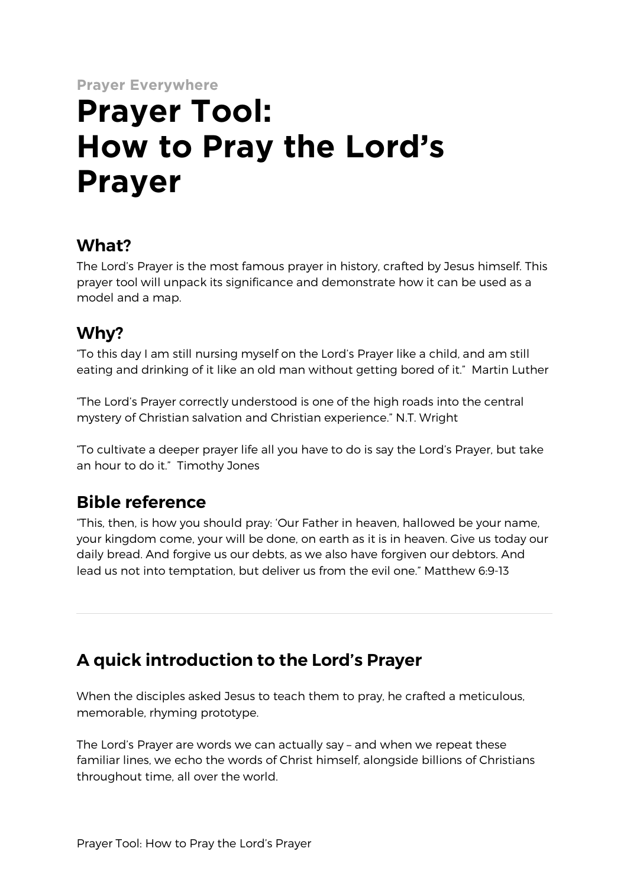**Prayer Everywhere**

# **Prayer Tool: How to Pray the Lord's Prayer**

## **What?**

The Lord's Prayer is the most famous prayer in history, crafted by Jesus himself. This prayer tool will unpack its significance and demonstrate how it can be used as a model and a map.

# **Why?**

"To this day I am still nursing myself on the Lord's Prayer like a child, and am still eating and drinking of it like an old man without getting bored of it." Martin Luther

"The Lord's Prayer correctly understood is one of the high roads into the central mystery of Christian salvation and Christian experience." N.T. Wright

"To cultivate a deeper prayer life all you have to do is say the Lord's Prayer, but take an hour to do it." Timothy Jones

## **Bible reference**

"This, then, is how you should pray: 'Our Father in heaven, hallowed be your name, your kingdom come, your will be done, on earth as it is in heaven. Give us today our daily bread. And forgive us our debts, as we also have forgiven our debtors. And lead us not into temptation, but deliver us from the evil one." Matthew 6:9-13

# **A quick introduction to the Lord's Prayer**

When the disciples asked Jesus to teach them to pray, he crafted a meticulous, memorable, rhyming prototype.

The Lord's Prayer are words we can actually say – and when we repeat these familiar lines, we echo the words of Christ himself, alongside billions of Christians throughout time, all over the world.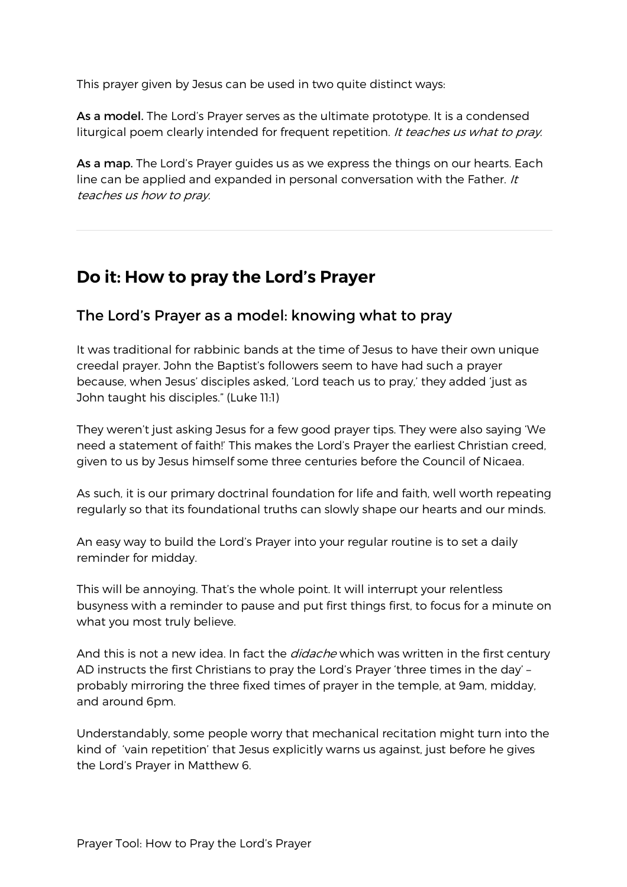This prayer given by Jesus can be used in two quite distinct ways:

As a model. The Lord's Prayer serves as the ultimate prototype. It is a condensed liturgical poem clearly intended for frequent repetition. It teaches us what to pray.

As a map. The Lord's Prayer guides us as we express the things on our hearts. Each line can be applied and expanded in personal conversation with the Father.  $/t$ teaches us how to pray.

#### **Do it: How to pray the Lord's Prayer**

#### The Lord's Prayer as a model: knowing what to pray

It was traditional for rabbinic bands at the time of Jesus to have their own unique creedal prayer. John the Baptist's followers seem to have had such a prayer because, when Jesus' disciples asked, 'Lord teach us to pray,' they added 'just as John taught his disciples." (Luke 11:1)

They weren't just asking Jesus for a few good prayer tips. They were also saying 'We need a statement of faith!' This makes the Lord's Prayer the earliest Christian creed, given to us by Jesus himself some three centuries before the Council of Nicaea.

As such, it is our primary doctrinal foundation for life and faith, well worth repeating regularly so that its foundational truths can slowly shape our hearts and our minds.

An easy way to build the Lord's Prayer into your regular routine is to set a daily reminder for midday.

This will be annoying. That's the whole point. It will interrupt your relentless busyness with a reminder to pause and put first things first, to focus for a minute on what you most truly believe.

And this is not a new idea. In fact the *didache* which was written in the first century AD instructs the first Christians to pray the Lord's Prayer 'three times in the day' – probably mirroring the three fixed times of prayer in the temple, at 9am, midday, and around 6pm.

Understandably, some people worry that mechanical recitation might turn into the kind of 'vain repetition' that Jesus explicitly warns us against, just before he gives the Lord's Prayer in Matthew 6.